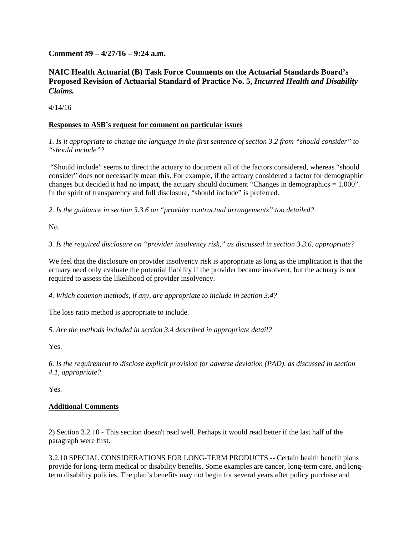**Comment #9 – 4/27/16 – 9:24 a.m.** 

## **NAIC Health Actuarial (B) Task Force Comments on the Actuarial Standards Board's Proposed Revision of Actuarial Standard of Practice No. 5,** *Incurred Health and Disability Claims.*

4/14/16

## **Responses to ASB's request for comment on particular issues**

*1. Is it appropriate to change the language in the first sentence of section 3.2 from "should consider" to "should include"?*

"Should include" seems to direct the actuary to document all of the factors considered, whereas "should consider" does not necessarily mean this. For example, if the actuary considered a factor for demographic changes but decided it had no impact, the actuary should document "Changes in demographics = 1.000". In the spirit of transparency and full disclosure, "should include" is preferred.

*2. Is the guidance in section 3.3.6 on "provider contractual arrangements" too detailed?* 

No.

*3. Is the required disclosure on "provider insolvency risk," as discussed in section 3.3.6, appropriate?* 

We feel that the disclosure on provider insolvency risk is appropriate as long as the implication is that the actuary need only evaluate the potential liability if the provider became insolvent, but the actuary is not required to assess the likelihood of provider insolvency.

*4. Which common methods, if any, are appropriate to include in section 3.4?* 

The loss ratio method is appropriate to include.

*5. Are the methods included in section 3.4 described in appropriate detail?* 

Yes.

*6. Is the requirement to disclose explicit provision for adverse deviation (PAD), as discussed in section 4.1, appropriate?* 

Yes.

## **Additional Comments**

2) Section 3.2.10 - This section doesn't read well. Perhaps it would read better if the last half of the paragraph were first.

3.2.10 SPECIAL CONSIDERATIONS FOR LONG-TERM PRODUCTS -- Certain health benefit plans provide for long-term medical or disability benefits. Some examples are cancer, long-term care, and longterm disability policies. The plan's benefits may not begin for several years after policy purchase and